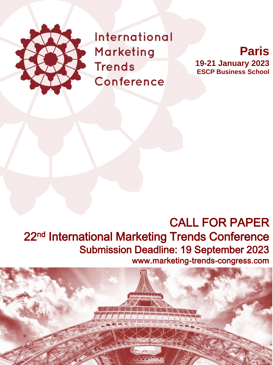

International Marketing **Trends** Conference

**Paris 19-21 January 2023 ESCP Business School**

### CALL FOR PAPER 22<sup>nd</sup> International Marketing Trends Conference Submission Deadline: 19 September 2023 www.marketing-trends-congress.com

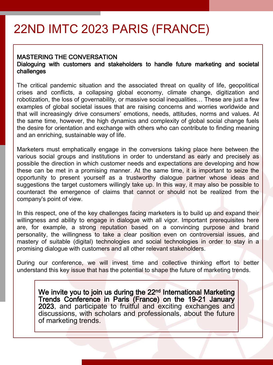## 22ND IMTC 2023 PARIS (FRANCE)

#### MASTERING THE CONVERSATION

#### Dialoguing with customers and stakeholders to handle future marketing and societal challenges

The critical pandemic situation and the associated threat on quality of life, geopolitical crises and conflicts, a collapsing global economy, climate change, digitization and robotization, the loss of governability, or massive social inequalities… These are just a few examples of global societal issues that are raising concerns and worries worldwide and that will increasingly drive consumers' emotions, needs, attitudes, norms and values. At the same time, however, the high dynamics and complexity of global social change fuels the desire for orientation and exchange with others who can contribute to finding meaning and an enriching, sustainable way of life.

Marketers must emphatically engage in the conversions taking place here between the various social groups and institutions in order to understand as early and precisely as possible the direction in which customer needs and expectations are developing and how these can be met in a promising manner. At the same time, it is important to seize the opportunity to present yourself as a trustworthy dialogue partner whose ideas and suggestions the target customers willingly take up. In this way, it may also be possible to counteract the emergence of claims that cannot or should not be realized from the company's point of view.

In this respect, one of the key challenges facing marketers is to build up and expand their willingness and ability to engage in dialogue with all vigor. Important prerequisites here are, for example, a strong reputation based on a convincing purpose and brand personality, the willingness to take a clear position even on controversial issues, and mastery of suitable (digital) technologies and social technologies in order to stay in a promising dialogue with customers and all other relevant stakeholders.

During our conference, we will invest time and collective thinking effort to better understand this key issue that has the potential to shape the future of marketing trends.

We invite you to join us during the 22<sup>nd</sup> International Marketing Trends Conference in Paris (France) on the 19-21 January 2023, and participate to fruitful and exciting exchanges and discussions, with scholars and professionals, about the future of marketing trends.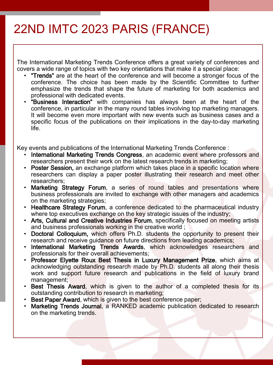### 22ND IMTC 2023 PARIS (FRANCE)

The International Marketing Trends Conference offers a great variety of conferences and covers a wide range of topics with two key orientations that make it a special place:

- "Trends" are at the heart of the conference and will become a stronger focus of the conference. The choice has been made by the Scientific Committee to further emphasize the trends that shape the future of marketing for both academics and professional with dedicated events.
- "Business Interaction" with companies has always been at the heart of the conference, in particular in the many round tables involving top marketing managers. It will become even more important with new events such as business cases and a specific focus of the publications on their implications in the day-to-day marketing life.

Key events and publications of the International Marketing Trends Conference :

- International Marketing Trends Congress, an academic event where professors and researchers present their work on the latest research trends in marketing;
- Poster Session, an exchange platform which takes place in a specific location where researchers can display a paper poster illustrating their research and meet other researchers;
- Marketing Strategy Forum, a series of round tables and presentations where business professionals are invited to exchange with other managers and academics on the marketing strategies;
- Healthcare Strategy Forum, a conference dedicated to the pharmaceutical industry where top executives exchange on the key strategic issues of the industry;
- Arts, Cultural and Creative Industries Forum, specifically focused on meeting artists and business professionals working in the creative world ;
- Doctoral Colloquium, which offers Ph.D. students the opportunity to present their research and receive guidance on future directions from leading academics;
- International Marketing Trends Awards, which acknowledges researchers and professionals for their overall achievements;
- Professor Elyette Roux Best Thesis in Luxury Management Prize, which aims at acknowledging outstanding research made by Ph.D. students all along their thesis work and support future research and publications in the field of luxury brand management;
- Best Thesis Award, which is given to the author of a completed thesis for its outstanding contribution to research in marketing;
- Best Paper Award, which is given to the best conference paper;
- Marketing Trends Journal, a RANKED academic publication dedicated to research on the marketing trends.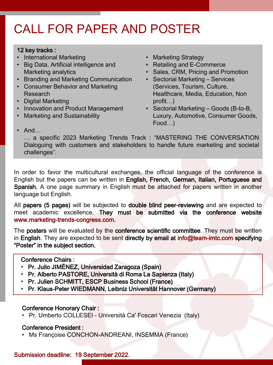## CALL FOR PAPER AND POSTER

#### 12 key tracks :

- International Marketing
- Big Data, Artificial intelligence and Marketing analytics
- Branding and Marketing Communication
- Consumer Behavior and Marketing Research
- Digital Marketing
- Innovation and Product Management
- Marketing and Sustainability
- Marketing Strategy
- Retailing and E-Commerce
- Sales, CRM, Pricing and Promotion
- Sectorial Marketing Services (Services, Tourism, Culture, Healthcare, Media, Education, Non profit…)
- Sectorial Marketing Goods (B-to-B, Luxury, Automotive, Consumer Goods, Food…)

• And…

… a specific 2023 Marketing Trends Track : "MASTERING THE CONVERSATION Dialoguing with customers and stakeholders to handle future marketing and societal challenges".

In order to favor the multicultural exchanges, the official language of the conference is English but the papers can be written in English, French, German, Italian, Portuguese and Spanish. A one page summary in English must be attached for papers written in another language but English.

All papers (5 pages) will be subjected to double blind peer-reviewing and are expected to meet academic excellence. They must be submitted via the conference website www.marketing-trends-congress.com.

The **posters** will be evaluated by the **conference scientific committee**. They must be written in English. They are expected to be sent directly by email at info@team-imtc.com specifying "Poster" in the subject section.

#### Conference Chairs :

- Pr. Julio JIMÉNEZ, Universidad Zaragoza (Spain)
- Pr. Alberto PASTORE, Università di Roma La Sapienza (Italy)
- Pr. Julien SCHMITT, ESCP Business School (France)
- Pr. Klaus-Peter WIEDMANN, Leibniz Universität Hannover (Germany)

#### Conference Honorary Chair :

• Pr. Umberto COLLESEI - Università Ca' Foscari Venezia (Italy)

#### Conference President :

• Ms Françoise CONCHON-ANDREANI, INSEMMA (France)

#### Submission deadline: 19 September 2022.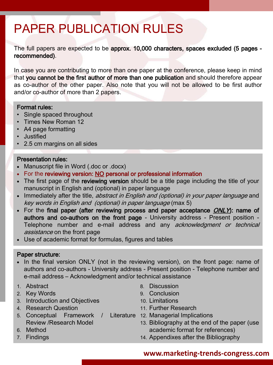# PAPER PUBLICATION RULES

The full papers are expected to be approx. 10,000 characters, spaces excluded (5 pages recommended).

In case you are contributing to more than one paper at the conference, please keep in mind that you cannot be the first author of more than one publication and should therefore appear as co-author of the other paper. Also note that you will not be allowed to be first author and/or co-author of more than 2 papers.

#### Format rules:

- Single spaced throughout
- Times New Roman 12
- A4 page formatting
- Justified
- 2.5 cm margins on all sides

#### Presentation rules:

- Manuscript file in Word (.doc or .docx)
- For the reviewing version: NO personal or professional information
- The first page of the reviewing version should be a title page including the title of your manuscript in English and (optional) in paper language
- Immediately after the title, *abstract in English and (optional) in your paper language* and key words in English and (optional) in paper language (max 5)
- For the final paper (after reviewing process and paper acceptance  $ONLY$ : name of authors and co-authors on the front page - University address - Present position - Telephone number and e-mail address and any acknowledgment or technical assistance on the front page
- Use of academic format for formulas, figures and tables

#### Paper structure:

- In the final version ONLY (not in the reviewing version), on the front page: name of authors and co-authors - University address - Present position - Telephone number and e-mail address – Acknowledgment and/or technical assistance
- 1. Abstract
- 2. Key Words
- 3. Introduction and Objectives
- 4. Research Question
- 5. Conceptual Framework / Review /Research Model
- 6. Method
- 7. Findings
- 8. Discussion
- 9. Conclusion
- 10. Limitations
- 11. Further Research
- Literature 12. Managerial Implications
	- 13. Bibliography at the end of the paper (use academic format for references)
	- 14. Appendixes after the Bibliography

### **www.marketing-trends-congress.com**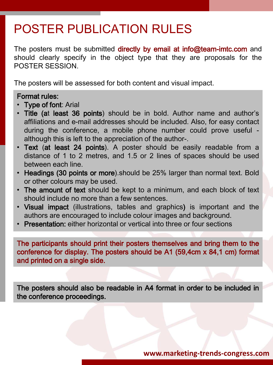## POSTER PUBLICATION RULES

The posters must be submitted directly by email at info@team-imtc.com and should clearly specify in the object type that they are proposals for the POSTER SESSION.

The posters will be assessed for both content and visual impact.

### Format rules:

- Type of font: Arial
- Title (at least 36 points) should be in bold. Author name and author's affiliations and e-mail addresses should be included. Also, for easy contact during the conference, a mobile phone number could prove useful although this is left to the appreciation of the author-.
- Text (at least 24 points). A poster should be easily readable from a distance of 1 to 2 metres, and 1.5 or 2 lines of spaces should be used between each line.
- Headings (30 points or more).should be 25% larger than normal text. Bold or other colours may be used.
- The amount of text should be kept to a minimum, and each block of text should include no more than a few sentences.
- Visual impact (illustrations, tables and graphics) is important and the authors are encouraged to include colour images and background.
- Presentation: either horizontal or vertical into three or four sections

The participants should print their posters themselves and bring them to the conference for display. The posters should be A1 (59,4cm x 84,1 cm) format and printed on a single side.

The posters should also be readable in A4 format in order to be included in the conference proceedings.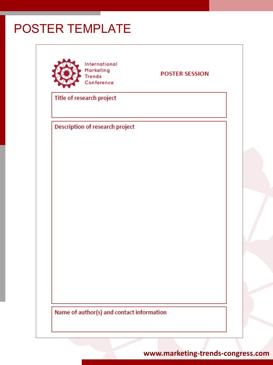## POSTER TEMPLATE



International Marketing **Trends** Conference

**POSTER SESSION** 

Title of research project

**Description of research project** 

Name of author(s) and contact information